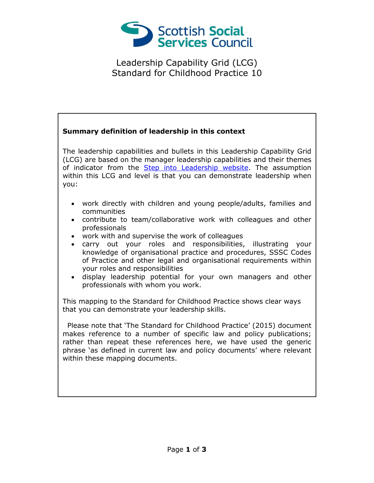

Leadership Capability Grid (LCG) Standard for Childhood Practice 10

## **Summary definition of leadership in this context** The leadership capabilities and bullets in this Leadership Capability Grid (LCG) are based on the manager leadership capabilities and their themes of indicator from the **Step into Leadership website**. The assumption within this LCG and level is that you can demonstrate leadership when you: work directly with children and young people/adults, families and communities contribute to team/collaborative work with colleagues and other professionals work with and supervise the work of colleagues carry out your roles and responsibilities, illustrating your knowledge of organisational practice and procedures, SSSC Codes of Practice and other legal and organisational requirements within your roles and responsibilities display leadership potential for your own managers and other professionals with whom you work. This mapping to the Standard for Childhood Practice shows clear ways that you can demonstrate your leadership skills. Please note that 'The Standard for Childhood Practice' (2015) document makes reference to a number of specific law and policy publications; rather than repeat these references here, we have used the generic phrase 'as defined in current law and policy documents' where relevant within these mapping documents.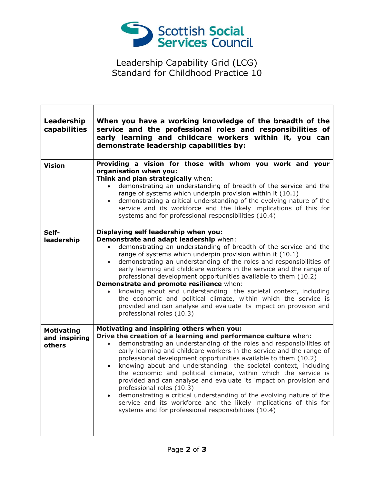

Leadership Capability Grid (LCG) Standard for Childhood Practice 10

| Leadership<br>capabilities                   | When you have a working knowledge of the breadth of the<br>service and the professional roles and responsibilities of<br>early learning and childcare workers within it, you can<br>demonstrate leadership capabilities by:                                                                                                                                                                                                                                                                                                                                                                                                                                                                                                                                                                          |
|----------------------------------------------|------------------------------------------------------------------------------------------------------------------------------------------------------------------------------------------------------------------------------------------------------------------------------------------------------------------------------------------------------------------------------------------------------------------------------------------------------------------------------------------------------------------------------------------------------------------------------------------------------------------------------------------------------------------------------------------------------------------------------------------------------------------------------------------------------|
| <b>Vision</b>                                | Providing a vision for those with whom you work and your<br>organisation when you:<br>Think and plan strategically when:<br>demonstrating an understanding of breadth of the service and the<br>range of systems which underpin provision within it (10.1)<br>demonstrating a critical understanding of the evolving nature of the<br>$\bullet$<br>service and its workforce and the likely implications of this for<br>systems and for professional responsibilities (10.4)                                                                                                                                                                                                                                                                                                                         |
| Self-<br>leadership                          | Displaying self leadership when you:<br>Demonstrate and adapt leadership when:<br>demonstrating an understanding of breadth of the service and the<br>$\bullet$<br>range of systems which underpin provision within it (10.1)<br>demonstrating an understanding of the roles and responsibilities of<br>$\bullet$<br>early learning and childcare workers in the service and the range of<br>professional development opportunities available to them (10.2)<br>Demonstrate and promote resilience when:<br>knowing about and understanding the societal context, including<br>the economic and political climate, within which the service is<br>provided and can analyse and evaluate its impact on provision and<br>professional roles (10.3)                                                     |
| <b>Motivating</b><br>and inspiring<br>others | Motivating and inspiring others when you:<br>Drive the creation of a learning and performance culture when:<br>demonstrating an understanding of the roles and responsibilities of<br>$\bullet$<br>early learning and childcare workers in the service and the range of<br>professional development opportunities available to them (10.2)<br>knowing about and understanding the societal context, including<br>$\bullet$<br>the economic and political climate, within which the service is<br>provided and can analyse and evaluate its impact on provision and<br>professional roles (10.3)<br>demonstrating a critical understanding of the evolving nature of the<br>service and its workforce and the likely implications of this for<br>systems and for professional responsibilities (10.4) |